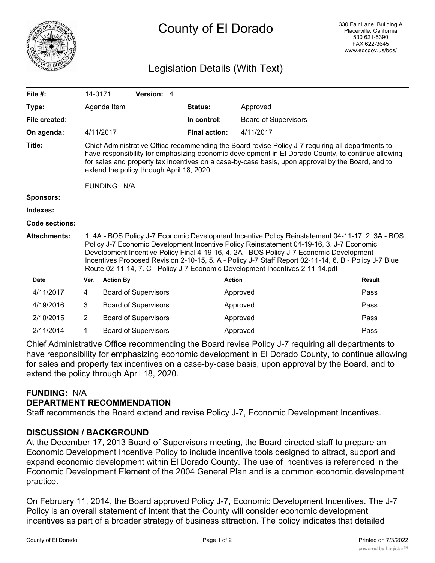

# County of El Dorado

# Legislation Details (With Text)

| File $#$ :          | 14-0171                                                                                                                                                                                                                                                                                                                                                                                                                                                                         |                  | Version: 4                  |                      |                             |               |
|---------------------|---------------------------------------------------------------------------------------------------------------------------------------------------------------------------------------------------------------------------------------------------------------------------------------------------------------------------------------------------------------------------------------------------------------------------------------------------------------------------------|------------------|-----------------------------|----------------------|-----------------------------|---------------|
| Type:               |                                                                                                                                                                                                                                                                                                                                                                                                                                                                                 | Agenda Item      |                             | Status:              | Approved                    |               |
| File created:       |                                                                                                                                                                                                                                                                                                                                                                                                                                                                                 |                  |                             | In control:          | <b>Board of Supervisors</b> |               |
| On agenda:          |                                                                                                                                                                                                                                                                                                                                                                                                                                                                                 | 4/11/2017        |                             | <b>Final action:</b> | 4/11/2017                   |               |
| Title:              | Chief Administrative Office recommending the Board revise Policy J-7 requiring all departments to<br>have responsibility for emphasizing economic development in El Dorado County, to continue allowing<br>for sales and property tax incentives on a case-by-case basis, upon approval by the Board, and to<br>extend the policy through April 18, 2020.<br><b>FUNDING: N/A</b>                                                                                                |                  |                             |                      |                             |               |
| Sponsors:           |                                                                                                                                                                                                                                                                                                                                                                                                                                                                                 |                  |                             |                      |                             |               |
| Indexes:            |                                                                                                                                                                                                                                                                                                                                                                                                                                                                                 |                  |                             |                      |                             |               |
| Code sections:      |                                                                                                                                                                                                                                                                                                                                                                                                                                                                                 |                  |                             |                      |                             |               |
| <b>Attachments:</b> | 1.4A - BOS Policy J-7 Economic Development Incentive Policy Reinstatement 04-11-17, 2.3A - BOS<br>Policy J-7 Economic Development Incentive Policy Reinstatement 04-19-16, 3. J-7 Economic<br>Development Incentive Policy Final 4-19-16, 4. 2A - BOS Policy J-7 Economic Development<br>Incentives Proposed Revision 2-10-15, 5. A - Policy J-7 Staff Report 02-11-14, 6. B - Policy J-7 Blue<br>Route 02-11-14, 7. C - Policy J-7 Economic Development Incentives 2-11-14.pdf |                  |                             |                      |                             |               |
| <b>Date</b>         | Ver.                                                                                                                                                                                                                                                                                                                                                                                                                                                                            | <b>Action By</b> |                             |                      | <b>Action</b>               | <b>Result</b> |
| 4/11/2017           | 4                                                                                                                                                                                                                                                                                                                                                                                                                                                                               |                  | <b>Board of Supervisors</b> |                      | Approved                    | Pass          |
| 4/19/2016           | 3                                                                                                                                                                                                                                                                                                                                                                                                                                                                               |                  | <b>Board of Supervisors</b> |                      | Approved                    | Pass          |
| 2/10/2015           | $\overline{2}$                                                                                                                                                                                                                                                                                                                                                                                                                                                                  |                  | <b>Board of Supervisors</b> |                      | Approved                    | Pass          |
| 2/11/2014           | 1                                                                                                                                                                                                                                                                                                                                                                                                                                                                               |                  | <b>Board of Supervisors</b> |                      | Approved                    | Pass          |

Chief Administrative Office recommending the Board revise Policy J-7 requiring all departments to have responsibility for emphasizing economic development in El Dorado County, to continue allowing for sales and property tax incentives on a case-by-case basis, upon approval by the Board, and to extend the policy through April 18, 2020.

# **FUNDING:** N/A

# **DEPARTMENT RECOMMENDATION**

Staff recommends the Board extend and revise Policy J-7, Economic Development Incentives.

# **DISCUSSION / BACKGROUND**

At the December 17, 2013 Board of Supervisors meeting, the Board directed staff to prepare an Economic Development Incentive Policy to include incentive tools designed to attract, support and expand economic development within El Dorado County. The use of incentives is referenced in the Economic Development Element of the 2004 General Plan and is a common economic development practice.

On February 11, 2014, the Board approved Policy J-7, Economic Development Incentives. The J-7 Policy is an overall statement of intent that the County will consider economic development incentives as part of a broader strategy of business attraction. The policy indicates that detailed